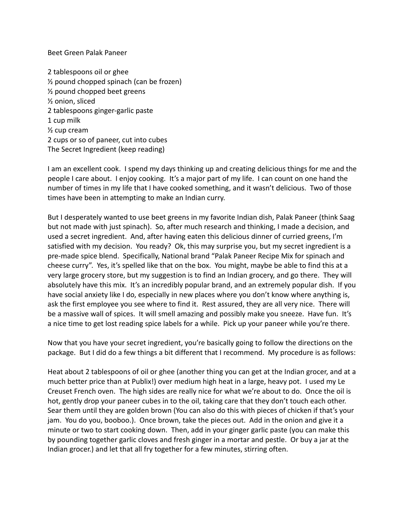Beet Green Palak Paneer

2 tablespoons oil or ghee ½ pound chopped spinach (can be frozen) ½ pound chopped beet greens ½ onion, sliced 2 tablespoons ginger-garlic paste 1 cup milk ½ cup cream 2 cups or so of paneer, cut into cubes The Secret Ingredient (keep reading)

I am an excellent cook. I spend my days thinking up and creating delicious things for me and the people I care about. I enjoy cooking. It's a major part of my life. I can count on one hand the number of times in my life that I have cooked something, and it wasn't delicious. Two of those times have been in attempting to make an Indian curry.

But I desperately wanted to use beet greens in my favorite Indian dish, Palak Paneer (think Saag but not made with just spinach). So, after much research and thinking, I made a decision, and used a secret ingredient. And, after having eaten this delicious dinner of curried greens, I'm satisfied with my decision. You ready? Ok, this may surprise you, but my secret ingredient is a pre-made spice blend. Specifically, National brand "Palak Paneer Recipe Mix for spinach and cheese curry". Yes, it's spelled like that on the box. You might, maybe be able to find this at a very large grocery store, but my suggestion is to find an Indian grocery, and go there. They will absolutely have this mix. It's an incredibly popular brand, and an extremely popular dish. If you have social anxiety like I do, especially in new places where you don't know where anything is, ask the first employee you see where to find it. Rest assured, they are all very nice. There will be a massive wall of spices. It will smell amazing and possibly make you sneeze. Have fun. It's a nice time to get lost reading spice labels for a while. Pick up your paneer while you're there.

Now that you have your secret ingredient, you're basically going to follow the directions on the package. But I did do a few things a bit different that I recommend. My procedure is as follows:

Heat about 2 tablespoons of oil or ghee (another thing you can get at the Indian grocer, and at a much better price than at Publix!) over medium high heat in a large, heavy pot. I used my Le Creuset French oven. The high sides are really nice for what we're about to do. Once the oil is hot, gently drop your paneer cubes in to the oil, taking care that they don't touch each other. Sear them until they are golden brown (You can also do this with pieces of chicken if that's your jam. You do you, booboo.). Once brown, take the pieces out. Add in the onion and give it a minute or two to start cooking down. Then, add in your ginger garlic paste (you can make this by pounding together garlic cloves and fresh ginger in a mortar and pestle. Or buy a jar at the Indian grocer.) and let that all fry together for a few minutes, stirring often.